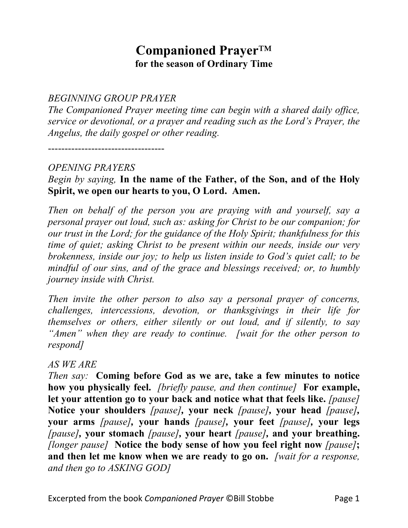# **Companioned Prayer**™ **for the season of Ordinary Time**

*BEGINNING GROUP PRAYER*

*The Companioned Prayer meeting time can begin with a shared daily office, service or devotional, or a prayer and reading such as the Lord's Prayer, the Angelus, the daily gospel or other reading.*

-----------------------------------

### *OPENING PRAYERS*

# *Begin by saying,* **In the name of the Father, of the Son, and of the Holy Spirit, we open our hearts to you, O Lord. Amen.**

*Then on behalf of the person you are praying with and yourself, say a personal prayer out loud, such as: asking for Christ to be our companion; for our trust in the Lord; for the guidance of the Holy Spirit; thankfulness for this time of quiet; asking Christ to be present within our needs, inside our very brokenness, inside our joy; to help us listen inside to God's quiet call; to be mindful of our sins, and of the grace and blessings received; or, to humbly journey inside with Christ.*

*Then invite the other person to also say a personal prayer of concerns, challenges, intercessions, devotion, or thanksgivings in their life for themselves or others, either silently or out loud, and if silently, to say "Amen" when they are ready to continue. [wait for the other person to respond]*

#### *AS WE ARE*

*Then say:* **Coming before God as we are, take a few minutes to notice how you physically feel.** *[briefly pause, and then continue]* **For example, let your attention go to your back and notice what that feels like.** *[pause]*  **Notice your shoulders** *[pause],* **your neck** *[pause],* **your head** *[pause],*  **your arms** *[pause],* **your hands** *[pause],* **your feet** *[pause],* **your legs** *[pause],* **your stomach** *[pause],* **your heart** *[pause],* **and your breathing.**  *[longer pause]* **Notice the body sense of how you feel right now** *[pause]***; and then let me know when we are ready to go on.** *[wait for a response, and then go to ASKING GOD]*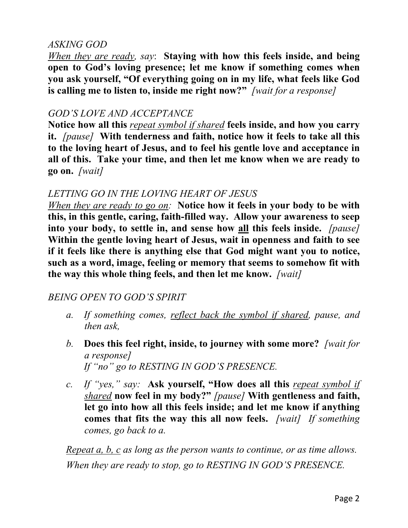### *ASKING GOD*

*When they are ready, say*: **Staying with how this feels inside, and being open to God's loving presence; let me know if something comes when you ask yourself, "Of everything going on in my life, what feels like God is calling me to listen to, inside me right now?"** *[wait for a response]*

### *GOD'S LOVE AND ACCEPTANCE*

**Notice how all this** *repeat symbol if shared* **feels inside, and how you carry it.** *[pause]* **With tenderness and faith, notice how it feels to take all this to the loving heart of Jesus, and to feel his gentle love and acceptance in all of this. Take your time, and then let me know when we are ready to go on.** *[wait]*

# *LETTING GO IN THE LOVING HEART OF JESUS*

*When they are ready to go on:* **Notice how it feels in your body to be with this, in this gentle, caring, faith-filled way. Allow your awareness to seep into your body, to settle in, and sense how all this feels inside.** *[pause]*  **Within the gentle loving heart of Jesus, wait in openness and faith to see if it feels like there is anything else that God might want you to notice, such as a word, image, feeling or memory that seems to somehow fit with the way this whole thing feels, and then let me know.** *[wait]*

## *BEING OPEN TO GOD'S SPIRIT*

- *a. If something comes, reflect back the symbol if shared, pause, and then ask,*
- *b.* **Does this feel right, inside, to journey with some more?** *[wait for a response] If "no" go to RESTING IN GOD'S PRESENCE.*
- *c. If "yes," say:* **Ask yourself, "How does all this** *repeat symbol if shared* **now feel in my body?"** *[pause]* **With gentleness and faith, let go into how all this feels inside; and let me know if anything comes that fits the way this all now feels.** *[wait] If something comes, go back to a.*

*Repeat a, b, c as long as the person wants to continue, or as time allows. When they are ready to stop, go to RESTING IN GOD'S PRESENCE.*